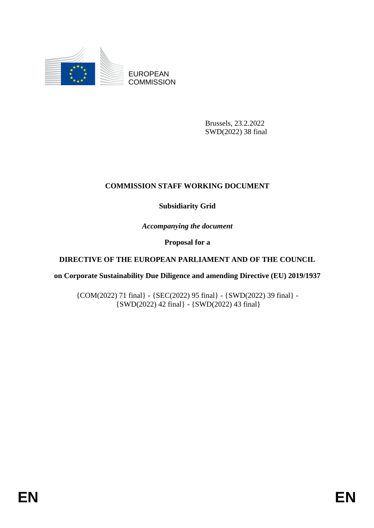

EUROPEAN **COMMISSION** 

> Brussels, 23.2.2022 SWD(2022) 38 final

## **COMMISSION STAFF WORKING DOCUMENT**

## **Subsidiarity Grid**

*Accompanying the document*

**Proposal for a** 

## **DIRECTIVE OF THE EUROPEAN PARLIAMENT AND OF THE COUNCIL**

**on Corporate Sustainability Due Diligence and amending Directive (EU) 2019/1937**

{COM(2022) 71 final} - {SEC(2022) 95 final} - {SWD(2022) 39 final} -  $\{SWD(2022)$  42 final} -  $\{SWD(2022)$  43 final}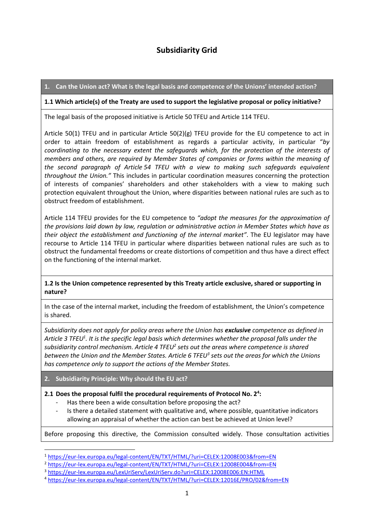# **Subsidiarity Grid**

**1. Can the Union act? What is the legal basis and competence of the Unions' intended action?**

#### **1.1 Which article(s) of the Treaty are used to support the legislative proposal or policy initiative?**

The legal basis of the proposed initiative is Article 50 TFEU and Article 114 TFEU.

Article 50(1) TFEU and in particular Article 50(2)(g) TFEU provide for the EU competence to act in order to attain freedom of establishment as regards a particular activity, in particular "*by coordinating to the necessary extent the safeguards which, for the protection of the interests of members and others, are required by Member States of companies or forms within the meaning of the second paragraph of Article 54 TFEU with a view to making such safeguards equivalent throughout the Union."* This includes in particular coordination measures concerning the protection of interests of companies' shareholders and other stakeholders with a view to making such protection equivalent throughout the Union, where disparities between national rules are such as to obstruct freedom of establishment.

Article 114 TFEU provides for the EU competence to *"adopt the measures for the approximation of the provisions laid down by law, regulation or administrative action in Member States which have as their object the establishment and functioning of the internal market"*. The EU legislator may have recourse to Article 114 TFEU in particular where disparities between national rules are such as to obstruct the fundamental freedoms or create distortions of competition and thus have a direct effect on the functioning of the internal market.

### **1.2 Is the Union competence represented by this Treaty article exclusive, shared or supporting in nature?**

In the case of the internal market, including the freedom of establishment, the Union's competence is shared.

*Subsidiarity does not apply for policy areas where the Union has exclusive competence as defined in Article 3 TFEU<sup>1</sup> . It is the specific legal basis which determines whether the proposal falls under the subsidiarity control mechanism. Article 4 TFEU<sup>2</sup> sets out the areas where competence is shared between the Union and the Member States. Article 6 TFEU<sup>3</sup> sets out the areas for which the Unions has competence only to support the actions of the Member States.*

**2. Subsidiarity Principle: Why should the EU act?**

**.** 

#### **2.1 Does the proposal fulfil the procedural requirements of Protocol No. 2<sup>4</sup> :**

- Has there been a wide consultation before proposing the act?
- Is there a detailed statement with qualitative and, where possible, quantitative indicators allowing an appraisal of whether the action can best be achieved at Union level?

Before proposing this directive, the Commission consulted widely. Those consultation activities

<sup>1</sup> <https://eur-lex.europa.eu/legal-content/EN/TXT/HTML/?uri=CELEX:12008E003&from=EN>

<sup>2</sup> <https://eur-lex.europa.eu/legal-content/EN/TXT/HTML/?uri=CELEX:12008E004&from=EN>

<sup>3</sup> <https://eur-lex.europa.eu/LexUriServ/LexUriServ.do?uri=CELEX:12008E006:EN:HTML>

<sup>4</sup> <https://eur-lex.europa.eu/legal-content/EN/TXT/HTML/?uri=CELEX:12016E/PRO/02&from=EN>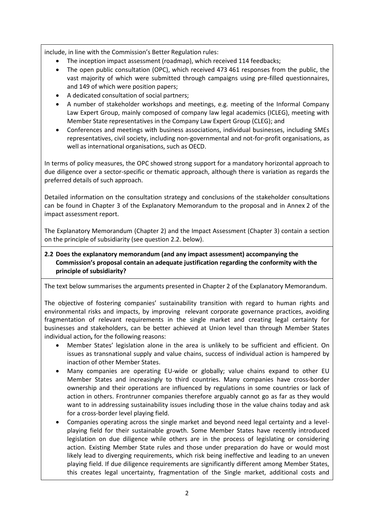include, in line with the Commission's Better Regulation rules:

- The inception impact assessment (roadmap), which received 114 feedbacks;
- The open public consultation (OPC), which received 473 461 responses from the public, the vast majority of which were submitted through campaigns using pre-filled questionnaires, and 149 of which were position papers;
- A dedicated consultation of social partners;
- A number of stakeholder workshops and meetings, e.g. meeting of the Informal Company Law Expert Group, mainly composed of company law legal academics (ICLEG), meeting with Member State representatives in the Company Law Expert Group (CLEG); and
- Conferences and meetings with business associations, individual businesses, including SMEs representatives, civil society, including non-governmental and not-for-profit organisations, as well as international organisations, such as OECD.

In terms of policy measures, the OPC showed strong support for a mandatory horizontal approach to due diligence over a sector-specific or thematic approach, although there is variation as regards the preferred details of such approach.

Detailed information on the consultation strategy and conclusions of the stakeholder consultations can be found in Chapter 3 of the Explanatory Memorandum to the proposal and in Annex 2 of the impact assessment report.

The Explanatory Memorandum (Chapter 2) and the Impact Assessment (Chapter 3) contain a section on the principle of subsidiarity (see question 2.2. below).

### **2.2 Does the explanatory memorandum (and any impact assessment) accompanying the Commission's proposal contain an adequate justification regarding the conformity with the principle of subsidiarity?**

The text below summarises the arguments presented in Chapter 2 of the Explanatory Memorandum.

The objective of fostering companies' sustainability transition with regard to human rights and environmental risks and impacts, by improving relevant corporate governance practices, avoiding fragmentation of relevant requirements in the single market and creating legal certainty for businesses and stakeholders, can be better achieved at Union level than through Member States individual action**,** for the following reasons:

- Member States' legislation alone in the area is unlikely to be sufficient and efficient. On issues as transnational supply and value chains, success of individual action is hampered by inaction of other Member States.
- Many companies are operating EU-wide or globally; value chains expand to other EU Member States and increasingly to third countries. Many companies have cross-border ownership and their operations are influenced by regulations in some countries or lack of action in others. Frontrunner companies therefore arguably cannot go as far as they would want to in addressing sustainability issues including those in the value chains today and ask for a cross-border level playing field.
- Companies operating across the single market and beyond need legal certainty and a levelplaying field for their sustainable growth. Some Member States have recently introduced legislation on due diligence while others are in the process of legislating or considering action. Existing Member State rules and those under preparation do have or would most likely lead to diverging requirements, which risk being ineffective and leading to an uneven playing field. If due diligence requirements are significantly different among Member States, this creates legal uncertainty, fragmentation of the Single market, additional costs and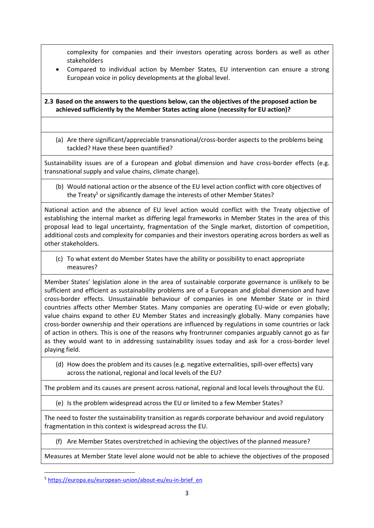complexity for companies and their investors operating across borders as well as other stakeholders

 Compared to individual action by Member States, EU intervention can ensure a strong European voice in policy developments at the global level.

### **2.3 Based on the answers to the questions below, can the objectives of the proposed action be achieved sufficiently by the Member States acting alone (necessity for EU action)?**

(a) Are there significant/appreciable transnational/cross-border aspects to the problems being tackled? Have these been quantified?

Sustainability issues are of a European and global dimension and have cross-border effects (e.g. transnational supply and value chains, climate change).

(b) Would national action or the absence of the EU level action conflict with core objectives of the Treaty<sup>5</sup> or significantly damage the interests of other Member States?

National action and the absence of EU level action would conflict with the Treaty objective of establishing the internal market as differing legal frameworks in Member States in the area of this proposal lead to legal uncertainty, fragmentation of the Single market, distortion of competition, additional costs and complexity for companies and their investors operating across borders as well as other stakeholders.

(c) To what extent do Member States have the ability or possibility to enact appropriate measures?

Member States' legislation alone in the area of sustainable corporate governance is unlikely to be sufficient and efficient as sustainability problems are of a European and global dimension and have cross-border effects. Unsustainable behaviour of companies in one Member State or in third countries affects other Member States. Many companies are operating EU-wide or even globally; value chains expand to other EU Member States and increasingly globally. Many companies have cross-border ownership and their operations are influenced by regulations in some countries or lack of action in others. This is one of the reasons why frontrunner companies arguably cannot go as far as they would want to in addressing sustainability issues today and ask for a cross-border level playing field.

(d) How does the problem and its causes (e.g. negative externalities, spill-over effects) vary across the national, regional and local levels of the EU?

The problem and its causes are present across national, regional and local levels throughout the EU.

(e) Is the problem widespread across the EU or limited to a few Member States?

The need to foster the sustainability transition as regards corporate behaviour and avoid regulatory fragmentation in this context is widespread across the EU.

(f) Are Member States overstretched in achieving the objectives of the planned measure?

Measures at Member State level alone would not be able to achieve the objectives of the proposed

1

<sup>5</sup> [https://europa.eu/european-union/about-eu/eu-in-brief\\_en](https://europa.eu/european-union/about-eu/eu-in-brief_en)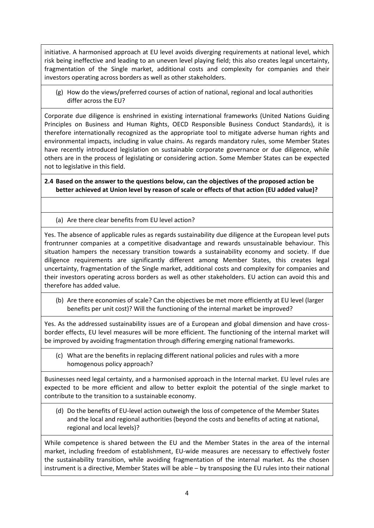initiative. A harmonised approach at EU level avoids diverging requirements at national level, which risk being ineffective and leading to an uneven level playing field; this also creates legal uncertainty, fragmentation of the Single market, additional costs and complexity for companies and their investors operating across borders as well as other stakeholders.

(g) How do the views/preferred courses of action of national, regional and local authorities differ across the EU?

Corporate due diligence is enshrined in existing international frameworks (United Nations Guiding Principles on Business and Human Rights, OECD Responsible Business Conduct Standards), it is therefore internationally recognized as the appropriate tool to mitigate adverse human rights and environmental impacts, including in value chains. As regards mandatory rules, some Member States have recently introduced legislation on sustainable corporate governance or due diligence, while others are in the process of legislating or considering action. Some Member States can be expected not to legislative in this field.

**2.4 Based on the answer to the questions below, can the objectives of the proposed action be better achieved at Union level by reason of scale or effects of that action (EU added value)?**

(a) Are there clear benefits from EU level action?

Yes. The absence of applicable rules as regards sustainability due diligence at the European level puts frontrunner companies at a competitive disadvantage and rewards unsustainable behaviour. This situation hampers the necessary transition towards a sustainability economy and society. If due diligence requirements are significantly different among Member States, this creates legal uncertainty, fragmentation of the Single market, additional costs and complexity for companies and their investors operating across borders as well as other stakeholders. EU action can avoid this and therefore has added value.

(b) Are there economies of scale? Can the objectives be met more efficiently at EU level (larger benefits per unit cost)? Will the functioning of the internal market be improved?

Yes. As the addressed sustainability issues are of a European and global dimension and have crossborder effects, EU level measures will be more efficient. The functioning of the internal market will be improved by avoiding fragmentation through differing emerging national frameworks.

(c) What are the benefits in replacing different national policies and rules with a more homogenous policy approach?

Businesses need legal certainty, and a harmonised approach in the Internal market. EU level rules are expected to be more efficient and allow to better exploit the potential of the single market to contribute to the transition to a sustainable economy.

(d) Do the benefits of EU-level action outweigh the loss of competence of the Member States and the local and regional authorities (beyond the costs and benefits of acting at national, regional and local levels)?

While competence is shared between the EU and the Member States in the area of the internal market, including freedom of establishment, EU-wide measures are necessary to effectively foster the sustainability transition, while avoiding fragmentation of the internal market. As the chosen instrument is a directive, Member States will be able – by transposing the EU rules into their national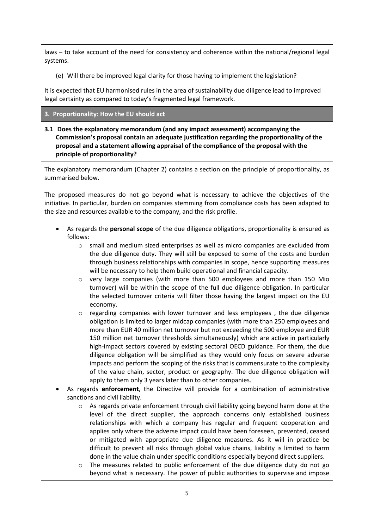laws – to take account of the need for consistency and coherence within the national/regional legal systems.

(e) Will there be improved legal clarity for those having to implement the legislation?

It is expected that EU harmonised rules in the area of sustainability due diligence lead to improved legal certainty as compared to today's fragmented legal framework.

- **3. Proportionality: How the EU should act**
- **3.1 Does the explanatory memorandum (and any impact assessment) accompanying the Commission's proposal contain an adequate justification regarding the proportionality of the proposal and a statement allowing appraisal of the compliance of the proposal with the principle of proportionality?**

The explanatory memorandum (Chapter 2) contains a section on the principle of proportionality, as summarised below.

The proposed measures do not go beyond what is necessary to achieve the objectives of the initiative. In particular, burden on companies stemming from compliance costs has been adapted to the size and resources available to the company, and the risk profile.

- As regards the **personal scope** of the due diligence obligations, proportionality is ensured as follows:
	- o small and medium sized enterprises as well as micro companies are excluded from the due diligence duty. They will still be exposed to some of the costs and burden through business relationships with companies in scope, hence supporting measures will be necessary to help them build operational and financial capacity.
	- $\circ$  very large companies (with more than 500 employees and more than 150 Mio turnover) will be within the scope of the full due diligence obligation. In particular the selected turnover criteria will filter those having the largest impact on the EU economy.
	- $\circ$  regarding companies with lower turnover and less employees , the due diligence obligation is limited to larger midcap companies (with more than 250 employees and more than EUR 40 million net turnover but not exceeding the 500 employee and EUR 150 million net turnover thresholds simultaneously) which are active in particularly high-impact sectors covered by existing sectoral OECD guidance. For them, the due diligence obligation will be simplified as they would only focus on severe adverse impacts and perform the scoping of the risks that is commensurate to the complexity of the value chain, sector, product or geography. The due diligence obligation will apply to them only 3 years later than to other companies.
- As regards **enforcement**, the Directive will provide for a combination of administrative sanctions and civil liability.
	- $\circ$  As regards private enforcement through civil liability going beyond harm done at the level of the direct supplier, the approach concerns only established business relationships with which a company has regular and frequent cooperation and applies only where the adverse impact could have been foreseen, prevented, ceased or mitigated with appropriate due diligence measures. As it will in practice be difficult to prevent all risks through global value chains, liability is limited to harm done in the value chain under specific conditions especially beyond direct suppliers.
	- o The measures related to public enforcement of the due diligence duty do not go beyond what is necessary. The power of public authorities to supervise and impose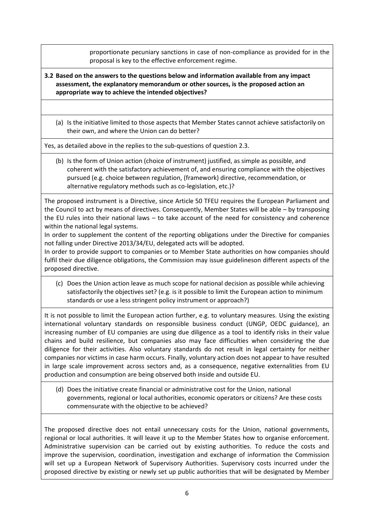proportionate pecuniary sanctions in case of non-compliance as provided for in the proposal is key to the effective enforcement regime.

- **3.2 Based on the answers to the questions below and information available from any impact assessment, the explanatory memorandum or other sources, is the proposed action an appropriate way to achieve the intended objectives?**
	- (a) Is the initiative limited to those aspects that Member States cannot achieve satisfactorily on their own, and where the Union can do better?

Yes, as detailed above in the replies to the sub-questions of question 2.3.

(b) Is the form of Union action (choice of instrument) justified, as simple as possible, and coherent with the satisfactory achievement of, and ensuring compliance with the objectives pursued (e.g. choice between regulation, (framework) directive, recommendation, or alternative regulatory methods such as co-legislation, etc.)?

The proposed instrument is a Directive, since Article 50 TFEU requires the European Parliament and the Council to act by means of directives. Consequently, Member States will be able – by transposing the EU rules into their national laws – to take account of the need for consistency and coherence within the national legal systems.

In order to supplement the content of the reporting obligations under the Directive for companies not falling under Directive 2013/34/EU, delegated acts will be adopted.

In order to provide support to companies or to Member State authorities on how companies should fulfil their due diligence obligations, the Commission may issue guidelineson different aspects of the proposed directive.

(c) Does the Union action leave as much scope for national decision as possible while achieving satisfactorily the objectives set? (e.g. is it possible to limit the European action to minimum standards or use a less stringent policy instrument or approach?)

It is not possible to limit the European action further, e.g. to voluntary measures. Using the existing international voluntary standards on responsible business conduct (UNGP, OEDC guidance), an increasing number of EU companies are using due diligence as a tool to identify risks in their value chains and build resilience, but companies also may face difficulties when considering the due diligence for their activities. Also voluntary standards do not result in legal certainty for neither companies nor victims in case harm occurs. Finally, voluntary action does not appear to have resulted in large scale improvement across sectors and, as a consequence, negative externalities from EU production and consumption are being observed both inside and outside EU.

(d) Does the initiative create financial or administrative cost for the Union, national governments, regional or local authorities, economic operators or citizens? Are these costs commensurate with the objective to be achieved?

The proposed directive does not entail unnecessary costs for the Union, national governments, regional or local authorities. It will leave it up to the Member States how to organise enforcement. Administrative supervision can be carried out by existing authorities. To reduce the costs and improve the supervision, coordination, investigation and exchange of information the Commission will set up a European Network of Supervisory Authorities. Supervisory costs incurred under the proposed directive by existing or newly set up public authorities that will be designated by Member